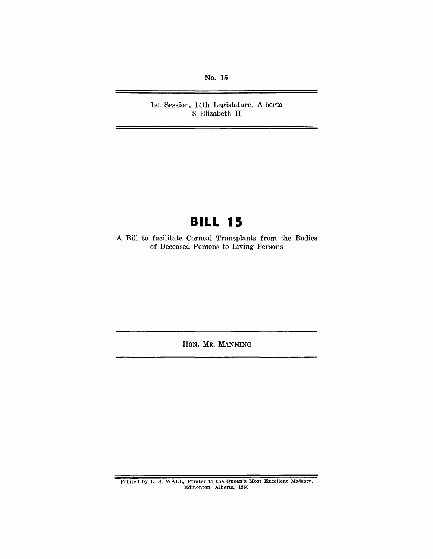No. 15

1st Session, 14th Legislature, Alberta 8 Elizabeth II

## **BILL 15**

A Bill to facilitate Corneal Transplants from the Bodies of Deceased Persons to Living Persons

HON. MR. MANNING

Printed by L. S. WALL, Printer to the Queen's Most Excellent Majesty, Edmonton, Alberta, 1960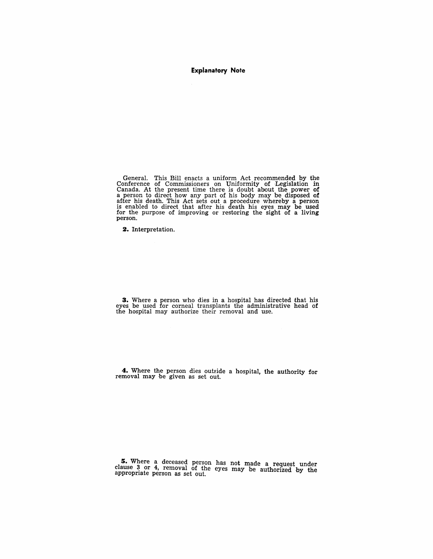**Explanatory Note** 

General. This Bill enacts a uniform Act recommended by the Conference of Commissioners on Uniformity of Legislation in Canada. At the present time there is doubt about the power of a person to direct how any part of his body may be disposed of after his death. This Act sets out a procedure whereby a person is enabled to direct that after his death his eyes may be used for the purpose of improving or restoring the sight of a living person.

**2.** Interpretation.

**3.** Where a person who dies in a hospital has directed that his eyes be used for corneal transplants the administrative head of the hospital may authorize their removal and use.

**4.** Where the person dies outside a hospital, the authority for removal may be given as set out.

**5.** Where a deceased person has not made a request under clause 3 or 4, removal of the eyes may be authorized by the appropriate person as set out.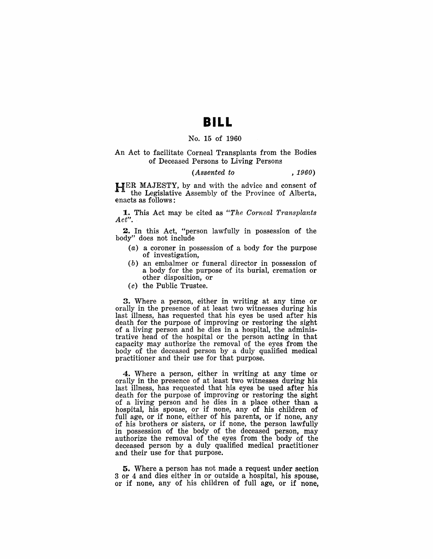### **BILL**

#### No. 15 of 1960

#### An Act to facilitate Corneal Transplants from the Bodies of Deceased Persons to Living Persons

#### *(Assented to* , *1960)*

HER MAJESTY, by and with the advice and consent of the Legislative Assembly of the Province of Alberta, enacts as follows:

1.. This Act may be cited as *"The Corneal Transplants Act".* 

2. In this Act, "person lawfully in possession of the body" does not include

- (a) a coroner in possession of a body for the purpose of investigation,
- $(b)$  an embalmer or funeral director in possession of a body for the purpose of its burial, cremation or other disposition, or
- (c) the Public Trustee.

3. Where a person, either in writing at any time or orally in the presence of at least two witnesses during his last illness, has requested that his eyes be used after his death for the purpose of improving or restoring the sight of a living person and he dies in a hospital, the administrative head of the hospital or the person acting in that capacity may authorize the removal of the eyes from the body of the deceased person by a duly qualified medical practitioner and their use for that purpose.

4. Where a person, either in writing at any time or orally in the presence of at least two witnesses during his last illness, has requested that his eyes be used after his death for the purpose of improving or restoring the sight of a living person and he dies in a place other than a hospital, his spouse, or if none, any of his children of full age, or if none, either of his parents, or if none, any of his brothers or sisters, or if none, the person lawfully in possession of the body of the deceased person, may authorize the removal of the eyes from the body of the deceased person by a duly qualified medical practitioner and their use for that purpose.

5. Where a person has not made a request under section 3 or 4 and dies either in or outside a hospital, his spouse, or if none, any of his children of full age, or if none,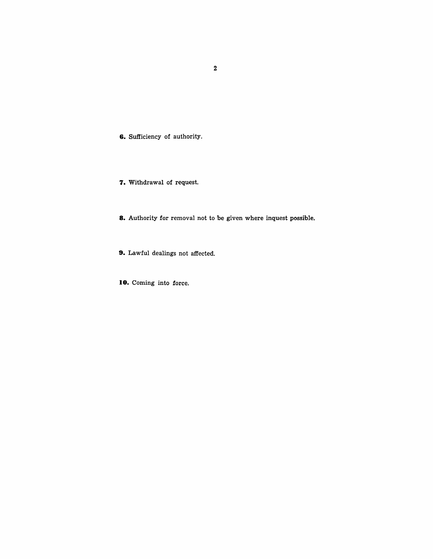**6.** Sufficiency of authority.

- **7.** Withdrawal of request.
- **8.** Authority for removal not to be given where inquest possible.
- **9.** Lawful dealings not affected.

**10.** Coming into force.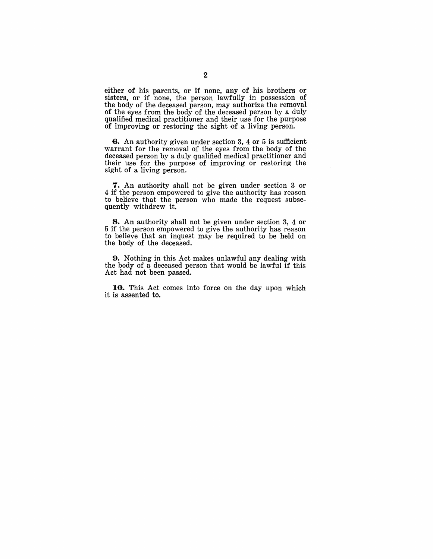either of his parents, or if none, any of his brothers or sisters, or if none, the person lawfully in possession of the body of the deceased person, may authorize the removal of the eyes from the body of the deceased person by a duly qualified medical practitioner and their use for the purpose of improving or restoring the sight of a living person.

G. An authority given under section 3, 4 or 5 is sufficient warrant for the removal of the eyes from the body of the deceased person by a duly qualified medical practitioner and their use for the purpose of improving or restoring the sight of a living person.

7. An authority shall not be given under section 3 or 4 if the person empowered to give the authority has reason to believe that the person who made the request subsequently withdrew it.

8. An authority shall not be given under section 3, 4 or 5 if the person empowered to give the authority has reason to believe that an inquest may be required to be held on the body of the deceased.

9. Nothing in this Act makes unlawful any dealing with the body of a deceased person that would be lawful if this Act had not been passed.

10. This Act comes into force on the day upon which it is assented to.